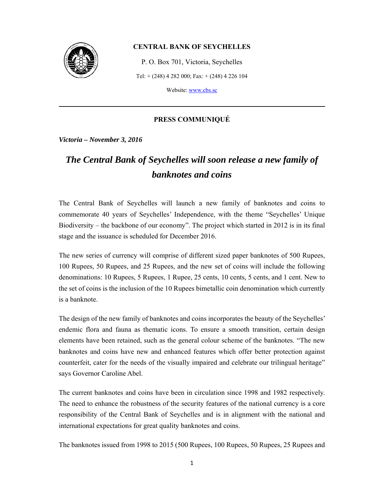

#### **CENTRAL BANK OF SEYCHELLES**

P. O. Box 701, Victoria, Seychelles Tel: + (248) 4 282 000; Fax: + (248) 4 226 104

Website: www.cbs.sc

#### **PRESS COMMUNIQUÉ**

*Victoria – November 3, 2016* 

## *The Central Bank of Seychelles will soon release a new family of banknotes and coins*

The Central Bank of Seychelles will launch a new family of banknotes and coins to commemorate 40 years of Seychelles' Independence, with the theme "Seychelles' Unique Biodiversity – the backbone of our economy". The project which started in 2012 is in its final stage and the issuance is scheduled for December 2016.

The new series of currency will comprise of different sized paper banknotes of 500 Rupees, 100 Rupees, 50 Rupees, and 25 Rupees, and the new set of coins will include the following denominations: 10 Rupees, 5 Rupees, 1 Rupee, 25 cents, 10 cents, 5 cents, and 1 cent. New to the set of coins is the inclusion of the 10 Rupees bimetallic coin denomination which currently is a banknote.

The design of the new family of banknotes and coins incorporates the beauty of the Seychelles' endemic flora and fauna as thematic icons. To ensure a smooth transition, certain design elements have been retained, such as the general colour scheme of the banknotes. "The new banknotes and coins have new and enhanced features which offer better protection against counterfeit, cater for the needs of the visually impaired and celebrate our trilingual heritage" says Governor Caroline Abel.

The current banknotes and coins have been in circulation since 1998 and 1982 respectively. The need to enhance the robustness of the security features of the national currency is a core responsibility of the Central Bank of Seychelles and is in alignment with the national and international expectations for great quality banknotes and coins.

The banknotes issued from 1998 to 2015 (500 Rupees, 100 Rupees, 50 Rupees, 25 Rupees and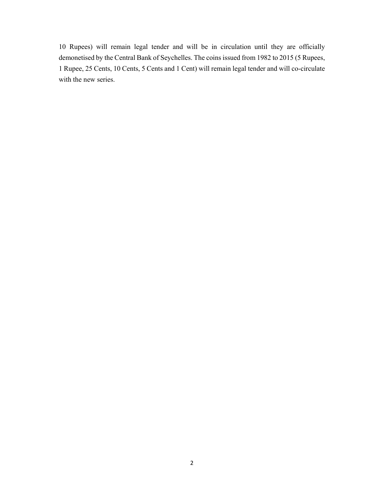10 Rupees) will remain legal tender and will be in circulation until they are officially demonetised by the Central Bank of Seychelles. The coins issued from 1982 to 2015 (5 Rupees, 1 Rupee, 25 Cents, 10 Cents, 5 Cents and 1 Cent) will remain legal tender and will co-circulate with the new series.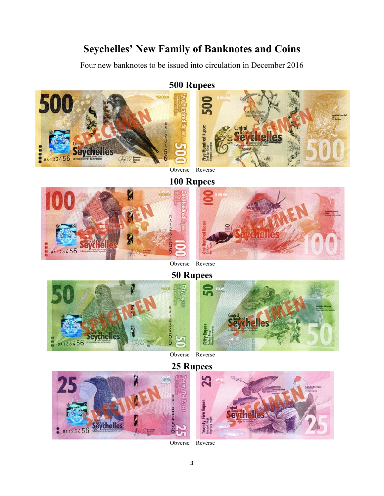# **Seychelles' New Family of Banknotes and Coins**

Four new banknotes to be issued into circulation in December 2016

### **500 Rupees**



Obverse Reverse



Centra

**Sevchelles** 

Obverse Reverse





Obverse Reverse





Obverse Reverse

3